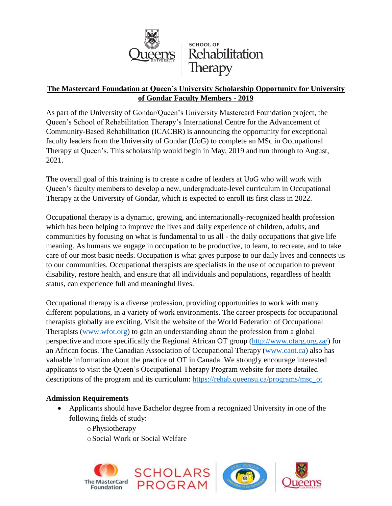

### **The Mastercard Foundation at Queen's University Scholarship Opportunity for University of Gondar Faculty Members - 2019**

As part of the University of Gondar/Queen's University Mastercard Foundation project, the Queen's School of Rehabilitation Therapy's International Centre for the Advancement of Community-Based Rehabilitation (ICACBR) is announcing the opportunity for exceptional faculty leaders from the University of Gondar (UoG) to complete an MSc in Occupational Therapy at Queen's. This scholarship would begin in May, 2019 and run through to August, 2021.

The overall goal of this training is to create a cadre of leaders at UoG who will work with Queen's faculty members to develop a new, undergraduate-level curriculum in Occupational Therapy at the University of Gondar, which is expected to enroll its first class in 2022.

Occupational therapy is a dynamic, growing, and internationally-recognized health profession which has been helping to improve the lives and daily experience of children, adults, and communities by focusing on what is fundamental to us all - the daily occupations that give life meaning. As humans we engage in occupation to be productive, to learn, to recreate, and to take care of our most basic needs. Occupation is what gives purpose to our daily lives and connects us to our communities. Occupational therapists are specialists in the use of occupation to prevent disability, restore health, and ensure that all individuals and populations, regardless of health status, can experience full and meaningful lives.

Occupational therapy is a diverse profession, providing opportunities to work with many different populations, in a variety of work environments. The career prospects for occupational therapists globally are exciting. Visit the website of the World Federation of Occupational Therapists [\(www.wfot.org\)](http://www.wfot.org/) to gain an understanding about the profession from a global perspective and more specifically the Regional African OT group [\(http://www.otarg.org.za/\)](http://www.otarg.org.za/) for an African focus. The Canadian Association of Occupational Therapy [\(www.caot.ca\)](http://www.caot.ca/) also has valuable information about the practice of OT in Canada. We strongly encourage interested applicants to visit the Queen's Occupational Therapy Program website for more detailed descriptions of the program and its curriculum: [https://rehab.queensu.ca/programs/msc\\_ot](https://rehab.queensu.ca/programs/msc_ot)

### **Admission Requirements**

 Applicants should have Bachelor degree from a recognized University in one of the following fields of study:

oPhysiotherapy oSocial Work or Social Welfare

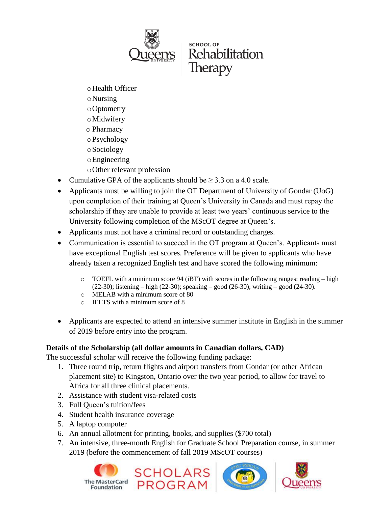

# **SCHOOL OF** Rehabilitation

- oHealth Officer
- oNursing
- oOptometry
- oMidwifery
- o Pharmacy
- oPsychology
- oSociology
- oEngineering
- oOther relevant profession
- Cumulative GPA of the applicants should be  $\geq 3.3$  on a 4.0 scale.
- Applicants must be willing to join the OT Department of University of Gondar (UoG) upon completion of their training at Queen's University in Canada and must repay the scholarship if they are unable to provide at least two years' continuous service to the University following completion of the MScOT degree at Queen's.
- Applicants must not have a criminal record or outstanding charges.
- Communication is essential to succeed in the OT program at Queen's. Applicants must have exceptional English test scores. Preference will be given to applicants who have already taken a recognized English test and have scored the following minimum:
	- $\circ$  TOEFL with a minimum score 94 (iBT) with scores in the following ranges: reading high (22-30); listening – high (22-30); speaking – good (26-30); writing – good (24-30).
	- o MELAB with a minimum score of 80
	- o IELTS with a minimum score of 8
- Applicants are expected to attend an intensive summer institute in English in the summer of 2019 before entry into the program.

# **Details of the Scholarship (all dollar amounts in Canadian dollars, CAD)**

The successful scholar will receive the following funding package:

- 1. Three round trip, return flights and airport transfers from Gondar (or other African placement site) to Kingston, Ontario over the two year period, to allow for travel to Africa for all three clinical placements.
- 2. Assistance with student visa-related costs
- 3. Full Queen's tuition/fees
- 4. Student health insurance coverage
- 5. A laptop computer
- 6. An annual allotment for printing, books, and supplies (\$700 total)
- 7. An intensive, three-month English for Graduate School Preparation course, in summer 2019 (before the commencement of fall 2019 MScOT courses)





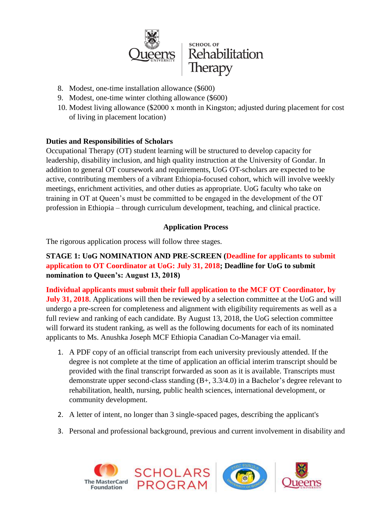

- 8. Modest, one-time installation allowance (\$600)
- 9. Modest, one-time winter clothing allowance (\$600)
- 10. Modest living allowance (\$2000 x month in Kingston; adjusted during placement for cost of living in placement location)

### **Duties and Responsibilities of Scholars**

Occupational Therapy (OT) student learning will be structured to develop capacity for leadership, disability inclusion, and high quality instruction at the University of Gondar. In addition to general OT coursework and requirements, UoG OT-scholars are expected to be active, contributing members of a vibrant Ethiopia-focused cohort, which will involve weekly meetings, enrichment activities, and other duties as appropriate. UoG faculty who take on training in OT at Queen's must be committed to be engaged in the development of the OT profession in Ethiopia – through curriculum development, teaching, and clinical practice.

### **Application Process**

The rigorous application process will follow three stages.

### **STAGE 1: UoG NOMINATION AND PRE-SCREEN (Deadline for applicants to submit application to OT Coordinator at UoG: July 31, 2018; Deadline for UoG to submit nomination to Queen's: August 13, 2018)**

**Individual applicants must submit their full application to the MCF OT Coordinator, by July 31, 2018**. Applications will then be reviewed by a selection committee at the UoG and will undergo a pre-screen for completeness and alignment with eligibility requirements as well as a full review and ranking of each candidate. By August 13, 2018, the UoG selection committee will forward its student ranking, as well as the following documents for each of its nominated applicants to Ms. Anushka Joseph MCF Ethiopia Canadian Co-Manager via email.

- 1. A PDF copy of an official transcript from each university previously attended. If the degree is not complete at the time of application an official interim transcript should be provided with the final transcript forwarded as soon as it is available. Transcripts must demonstrate upper second-class standing (B+, 3.3/4.0) in a Bachelor's degree relevant to rehabilitation, health, nursing, public health sciences, international development, or community development.
- 2. A letter of intent, no longer than 3 single-spaced pages, describing the applicant's
- 3. Personal and professional background, previous and current involvement in disability and

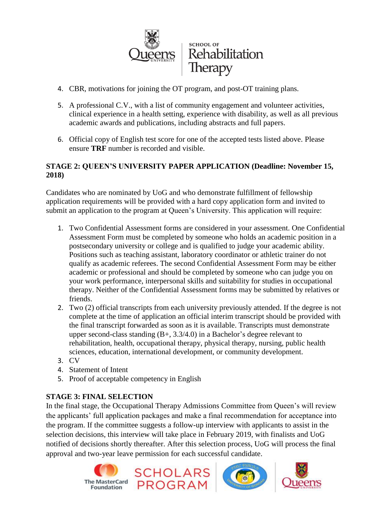

- 4. CBR, motivations for joining the OT program, and post-OT training plans.
- 5. A professional C.V., with a list of community engagement and volunteer activities, clinical experience in a health setting, experience with disability, as well as all previous academic awards and publications, including abstracts and full papers.
- 6. Official copy of English test score for one of the accepted tests listed above. Please ensure **TRF** number is recorded and visible.

#### **STAGE 2: QUEEN'S UNIVERSITY PAPER APPLICATION (Deadline: November 15, 2018)**

Candidates who are nominated by UoG and who demonstrate fulfillment of fellowship application requirements will be provided with a hard copy application form and invited to submit an application to the program at Queen's University. This application will require:

- 1. Two Confidential Assessment forms are considered in your assessment. One Confidential Assessment Form must be completed by someone who holds an academic position in a postsecondary university or college and is qualified to judge your academic ability. Positions such as teaching assistant, laboratory coordinator or athletic trainer do not qualify as academic referees. The second Confidential Assessment Form may be either academic or professional and should be completed by someone who can judge you on your work performance, interpersonal skills and suitability for studies in occupational therapy. Neither of the Confidential Assessment forms may be submitted by relatives or friends.
- 2. Two (2) official transcripts from each university previously attended. If the degree is not complete at the time of application an official interim transcript should be provided with the final transcript forwarded as soon as it is available. Transcripts must demonstrate upper second-class standing  $(B+, 3.3/4.0)$  in a Bachelor's degree relevant to rehabilitation, health, occupational therapy, physical therapy, nursing, public health sciences, education, international development, or community development.
- 3. CV
- 4. Statement of Intent
- 5. Proof of acceptable competency in English

#### **STAGE 3: FINAL SELECTION**

In the final stage, the Occupational Therapy Admissions Committee from Queen's will review the applicants' full application packages and make a final recommendation for acceptance into the program. If the committee suggests a follow-up interview with applicants to assist in the selection decisions, this interview will take place in February 2019, with finalists and UoG notified of decisions shortly thereafter. After this selection process, UoG will process the final approval and two-year leave permission for each successful candidate.







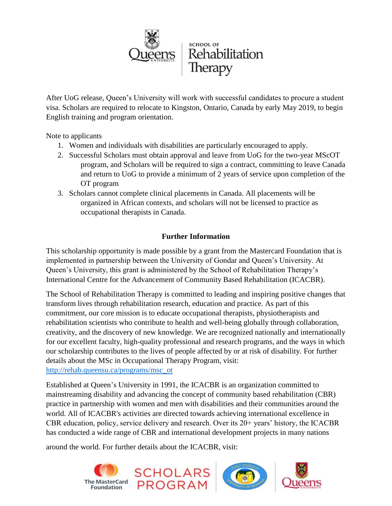

After UoG release, Queen's University will work with successful candidates to procure a student visa. Scholars are required to relocate to Kingston, Ontario, Canada by early May 2019, to begin English training and program orientation.

Note to applicants

- 1. Women and individuals with disabilities are particularly encouraged to apply.
- 2. Successful Scholars must obtain approval and leave from UoG for the two-year MScOT program, and Scholars will be required to sign a contract, committing to leave Canada and return to UoG to provide a minimum of 2 years of service upon completion of the OT program
- 3. Scholars cannot complete clinical placements in Canada. All placements will be organized in African contexts, and scholars will not be licensed to practice as occupational therapists in Canada.

## **Further Information**

This scholarship opportunity is made possible by a grant from the Mastercard Foundation that is implemented in partnership between the University of Gondar and Queen's University. At Queen's University, this grant is administered by the School of Rehabilitation Therapy's International Centre for the Advancement of Community Based Rehabilitation (ICACBR).

The School of Rehabilitation Therapy is committed to leading and inspiring positive changes that transform lives through rehabilitation research, education and practice. As part of this commitment, our core mission is to educate occupational therapists, physiotherapists and rehabilitation scientists who contribute to health and well-being globally through collaboration, creativity, and the discovery of new knowledge. We are recognized nationally and internationally for our excellent faculty, high-quality professional and research programs, and the ways in which our scholarship contributes to the lives of people affected by or at risk of disability. For further details about the MSc in Occupational Therapy Program, visit: [http://rehab.queensu.ca/programs/msc\\_ot](http://rehab.queensu.ca/programs/msc_ot)

Established at Queen's University in 1991, the ICACBR is an organization committed to mainstreaming disability and advancing the concept of community based rehabilitation (CBR) practice in partnership with women and men with disabilities and their communities around the world. All of ICACBR's activities are directed towards achieving international excellence in CBR education, policy, service delivery and research. Over its 20+ years' history, the ICACBR has conducted a wide range of CBR and international development projects in many nations

around the world. For further details about the ICACBR, visit: